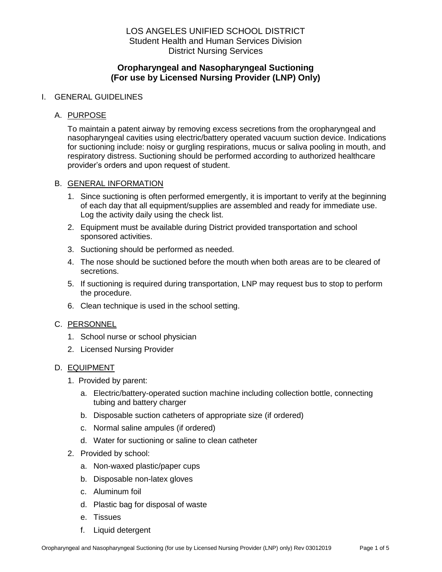# **Oropharyngeal and Nasopharyngeal Suctioning (For use by Licensed Nursing Provider (LNP) Only)**

#### I. GENERAL GUIDELINES

#### A. PURPOSE

To maintain a patent airway by removing excess secretions from the oropharyngeal and nasopharyngeal cavities using electric/battery operated vacuum suction device. Indications for suctioning include: noisy or gurgling respirations, mucus or saliva pooling in mouth, and respiratory distress. Suctioning should be performed according to authorized healthcare provider's orders and upon request of student.

#### B. GENERAL INFORMATION

- 1. Since suctioning is often performed emergently, it is important to verify at the beginning of each day that all equipment/supplies are assembled and ready for immediate use. Log the activity daily using the check list.
- 2. Equipment must be available during District provided transportation and school sponsored activities.
- 3. Suctioning should be performed as needed.
- 4. The nose should be suctioned before the mouth when both areas are to be cleared of secretions.
- 5. If suctioning is required during transportation, LNP may request bus to stop to perform the procedure.
- 6. Clean technique is used in the school setting.

### C. PERSONNEL

- 1. School nurse or school physician
- 2. Licensed Nursing Provider

### D. EQUIPMENT

- 1. Provided by parent:
	- a. Electric/battery-operated suction machine including collection bottle, connecting tubing and battery charger
	- b. Disposable suction catheters of appropriate size (if ordered)
	- c. Normal saline ampules (if ordered)
	- d. Water for suctioning or saline to clean catheter
- 2. Provided by school:
	- a. Non-waxed plastic/paper cups
	- b. Disposable non-latex gloves
	- c. Aluminum foil
	- d. Plastic bag for disposal of waste
	- e. Tissues
	- f. Liquid detergent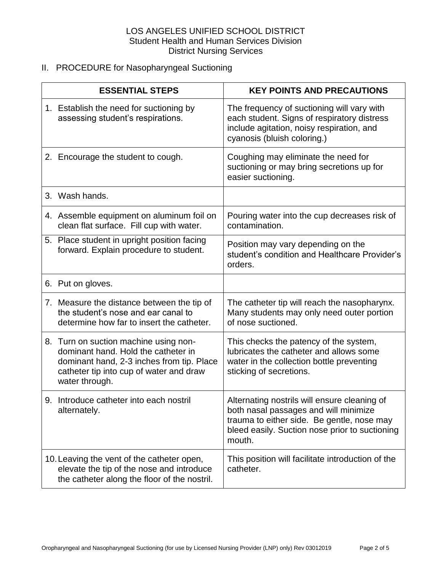# II. PROCEDURE for Nasopharyngeal Suctioning

| <b>ESSENTIAL STEPS</b> |                                                                                                                                                                                        | <b>KEY POINTS AND PRECAUTIONS</b>                                                                                                                                                               |
|------------------------|----------------------------------------------------------------------------------------------------------------------------------------------------------------------------------------|-------------------------------------------------------------------------------------------------------------------------------------------------------------------------------------------------|
|                        | 1. Establish the need for suctioning by<br>assessing student's respirations.                                                                                                           | The frequency of suctioning will vary with<br>each student. Signs of respiratory distress<br>include agitation, noisy respiration, and<br>cyanosis (bluish coloring.)                           |
|                        | 2. Encourage the student to cough.                                                                                                                                                     | Coughing may eliminate the need for<br>suctioning or may bring secretions up for<br>easier suctioning.                                                                                          |
|                        | 3. Wash hands.                                                                                                                                                                         |                                                                                                                                                                                                 |
|                        | 4. Assemble equipment on aluminum foil on<br>clean flat surface. Fill cup with water.                                                                                                  | Pouring water into the cup decreases risk of<br>contamination.                                                                                                                                  |
|                        | 5. Place student in upright position facing<br>forward. Explain procedure to student.                                                                                                  | Position may vary depending on the<br>student's condition and Healthcare Provider's<br>orders.                                                                                                  |
|                        | 6. Put on gloves.                                                                                                                                                                      |                                                                                                                                                                                                 |
|                        | 7. Measure the distance between the tip of<br>the student's nose and ear canal to<br>determine how far to insert the catheter.                                                         | The catheter tip will reach the nasopharynx.<br>Many students may only need outer portion<br>of nose suctioned.                                                                                 |
|                        | 8. Turn on suction machine using non-<br>dominant hand. Hold the catheter in<br>dominant hand, 2-3 inches from tip. Place<br>catheter tip into cup of water and draw<br>water through. | This checks the patency of the system,<br>lubricates the catheter and allows some<br>water in the collection bottle preventing<br>sticking of secretions.                                       |
|                        | 9. Introduce catheter into each nostril<br>alternately.                                                                                                                                | Alternating nostrils will ensure cleaning of<br>both nasal passages and will minimize<br>trauma to either side. Be gentle, nose may<br>bleed easily. Suction nose prior to suctioning<br>mouth. |
|                        | 10. Leaving the vent of the catheter open,<br>elevate the tip of the nose and introduce<br>the catheter along the floor of the nostril.                                                | This position will facilitate introduction of the<br>catheter.                                                                                                                                  |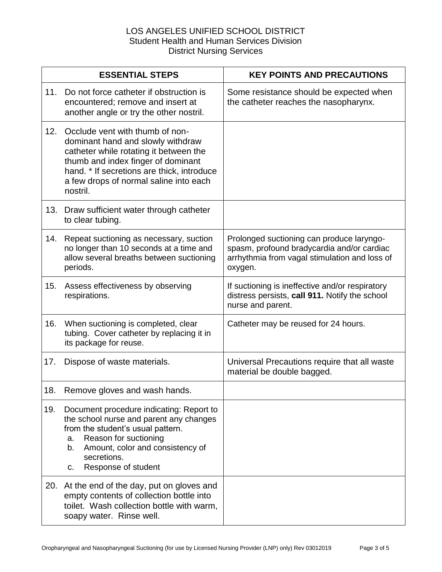|     | <b>ESSENTIAL STEPS</b>                                                                                                                                                                                                                                   | <b>KEY POINTS AND PRECAUTIONS</b>                                                                                                                   |
|-----|----------------------------------------------------------------------------------------------------------------------------------------------------------------------------------------------------------------------------------------------------------|-----------------------------------------------------------------------------------------------------------------------------------------------------|
| 11. | Do not force catheter if obstruction is<br>encountered; remove and insert at<br>another angle or try the other nostril.                                                                                                                                  | Some resistance should be expected when<br>the catheter reaches the nasopharynx.                                                                    |
| 12. | Occlude vent with thumb of non-<br>dominant hand and slowly withdraw<br>catheter while rotating it between the<br>thumb and index finger of dominant<br>hand. * If secretions are thick, introduce<br>a few drops of normal saline into each<br>nostril. |                                                                                                                                                     |
|     | 13. Draw sufficient water through catheter<br>to clear tubing.                                                                                                                                                                                           |                                                                                                                                                     |
| 14. | Repeat suctioning as necessary, suction<br>no longer than 10 seconds at a time and<br>allow several breaths between suctioning<br>periods.                                                                                                               | Prolonged suctioning can produce laryngo-<br>spasm, profound bradycardia and/or cardiac<br>arrhythmia from vagal stimulation and loss of<br>oxygen. |
| 15. | Assess effectiveness by observing<br>respirations.                                                                                                                                                                                                       | If suctioning is ineffective and/or respiratory<br>distress persists, call 911. Notify the school<br>nurse and parent.                              |
| 16. | When suctioning is completed, clear<br>tubing. Cover catheter by replacing it in<br>its package for reuse.                                                                                                                                               | Catheter may be reused for 24 hours.                                                                                                                |
| 17. | Dispose of waste materials.                                                                                                                                                                                                                              | Universal Precautions require that all waste<br>material be double bagged.                                                                          |
| 18. | Remove gloves and wash hands.                                                                                                                                                                                                                            |                                                                                                                                                     |
| 19. | Document procedure indicating: Report to<br>the school nurse and parent any changes<br>from the student's usual pattern.<br>Reason for suctioning<br>a.<br>Amount, color and consistency of<br>b.<br>secretions.<br>Response of student<br>c.            |                                                                                                                                                     |
|     | 20. At the end of the day, put on gloves and<br>empty contents of collection bottle into<br>toilet. Wash collection bottle with warm,<br>soapy water. Rinse well.                                                                                        |                                                                                                                                                     |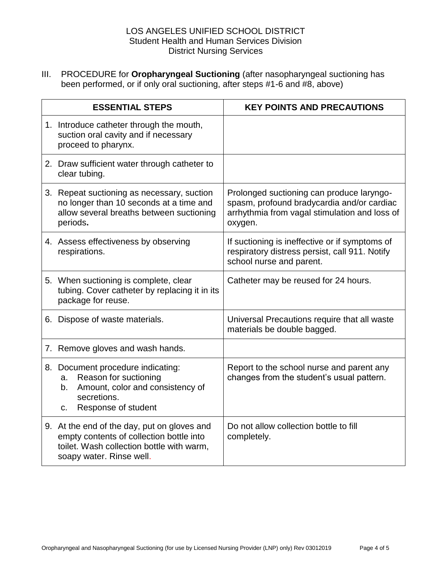III. PROCEDURE for **Oropharyngeal Suctioning** (after nasopharyngeal suctioning has been performed, or if only oral suctioning, after steps #1-6 and #8, above)

| <b>ESSENTIAL STEPS</b> |                                                                                                                                                                  | <b>KEY POINTS AND PRECAUTIONS</b>                                                                                                                   |
|------------------------|------------------------------------------------------------------------------------------------------------------------------------------------------------------|-----------------------------------------------------------------------------------------------------------------------------------------------------|
|                        | 1. Introduce catheter through the mouth,<br>suction oral cavity and if necessary<br>proceed to pharynx.                                                          |                                                                                                                                                     |
|                        | 2. Draw sufficient water through catheter to<br>clear tubing.                                                                                                    |                                                                                                                                                     |
|                        | 3. Repeat suctioning as necessary, suction<br>no longer than 10 seconds at a time and<br>allow several breaths between suctioning<br>periods.                    | Prolonged suctioning can produce laryngo-<br>spasm, profound bradycardia and/or cardiac<br>arrhythmia from vagal stimulation and loss of<br>oxygen. |
|                        | 4. Assess effectiveness by observing<br>respirations.                                                                                                            | If suctioning is ineffective or if symptoms of<br>respiratory distress persist, call 911. Notify<br>school nurse and parent.                        |
|                        | 5. When suctioning is complete, clear<br>tubing. Cover catheter by replacing it in its<br>package for reuse.                                                     | Catheter may be reused for 24 hours.                                                                                                                |
|                        | 6. Dispose of waste materials.                                                                                                                                   | Universal Precautions require that all waste<br>materials be double bagged.                                                                         |
|                        | 7. Remove gloves and wash hands.                                                                                                                                 |                                                                                                                                                     |
|                        | 8. Document procedure indicating:<br>Reason for suctioning<br>a.<br>Amount, color and consistency of<br>b.<br>secretions.<br>Response of student<br>c.           | Report to the school nurse and parent any<br>changes from the student's usual pattern.                                                              |
|                        | 9. At the end of the day, put on gloves and<br>empty contents of collection bottle into<br>toilet. Wash collection bottle with warm,<br>soapy water. Rinse well. | Do not allow collection bottle to fill<br>completely.                                                                                               |